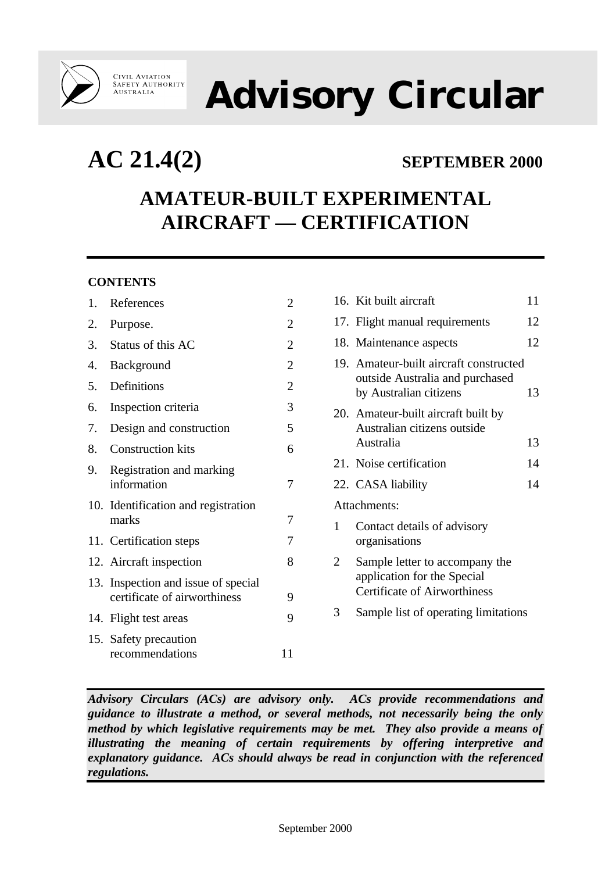

# **Advisory Circular**

**AC 21.4(2) SEPTEMBER 2000**

## **AMATEUR-BUILT EXPERIMENTAL AIRCRAFT — CERTIFICATION**

#### **CONTENTS**

| 1. | References                                                          | 2              |
|----|---------------------------------------------------------------------|----------------|
| 2. | Purpose.                                                            | $\overline{2}$ |
| 3. | Status of this AC                                                   | $\overline{2}$ |
| 4. | Background                                                          | $\overline{2}$ |
| 5. | Definitions                                                         | $\overline{2}$ |
| 6. | Inspection criteria                                                 | 3              |
| 7. | Design and construction                                             | 5              |
| 8. | <b>Construction kits</b>                                            | 6              |
| 9. | Registration and marking<br>information                             | 7              |
|    | 10. Identification and registration<br>marks                        | 7              |
|    | 11. Certification steps                                             | 7              |
|    | 12. Aircraft inspection                                             | 8              |
|    | 13. Inspection and issue of special<br>certificate of airworthiness | 9              |
|    | 14. Flight test areas                                               | 9              |
|    | 15. Safety precaution<br>recommendations                            | 11             |

|                | 16. Kit built aircraft                                                                               | 11 |
|----------------|------------------------------------------------------------------------------------------------------|----|
|                | 17. Flight manual requirements                                                                       | 12 |
|                | 18. Maintenance aspects                                                                              | 12 |
|                | 19. Amateur-built aircraft constructed<br>outside Australia and purchased<br>by Australian citizens  | 13 |
|                | 20. Amateur-built aircraft built by<br>Australian citizens outside<br>Australia                      | 13 |
|                | 21. Noise certification                                                                              | 14 |
|                | 22. CASA liability                                                                                   | 14 |
|                | Attachments:                                                                                         |    |
| 1              | Contact details of advisory<br>organisations                                                         |    |
| $\overline{2}$ | Sample letter to accompany the<br>application for the Special<br><b>Certificate of Airworthiness</b> |    |
| 3              | Sample list of operating limitations                                                                 |    |
|                |                                                                                                      |    |

*Advisory Circulars (ACs) are advisory only. ACs provide recommendations and guidance to illustrate a method, or several methods, not necessarily being the only method by which legislative requirements may be met. They also provide a means of illustrating the meaning of certain requirements by offering interpretive and explanatory guidance. ACs should always be read in conjunction with the referenced regulations.*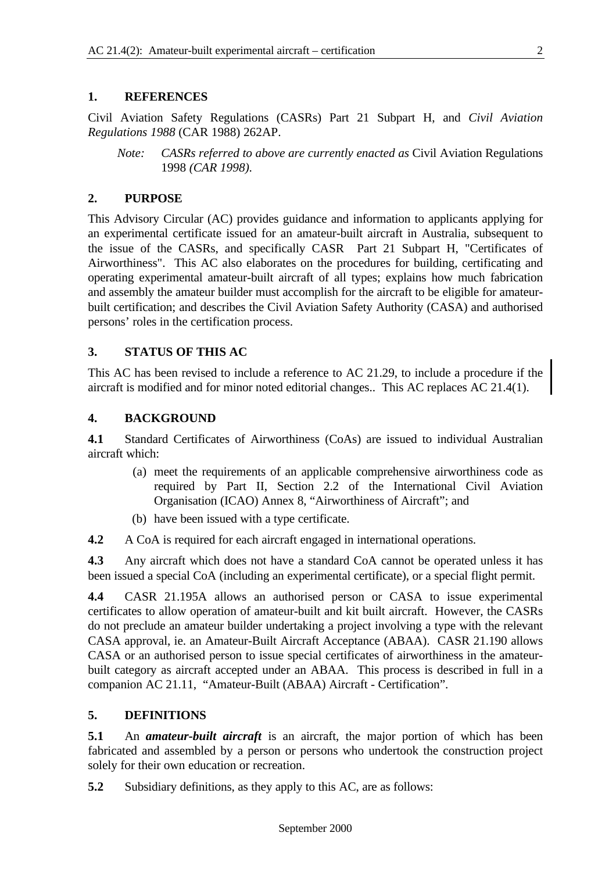#### **1. REFERENCES**

Civil Aviation Safety Regulations (CASRs) Part 21 Subpart H, and *Civil Aviation Regulations 1988* (CAR 1988) 262AP.

*Note: CASRs referred to above are currently enacted as* Civil Aviation Regulations 1998 *(CAR 1998).*

#### **2. PURPOSE**

This Advisory Circular (AC) provides guidance and information to applicants applying for an experimental certificate issued for an amateur-built aircraft in Australia, subsequent to the issue of the CASRs, and specifically CASR Part 21 Subpart H, "Certificates of Airworthiness". This AC also elaborates on the procedures for building, certificating and operating experimental amateur-built aircraft of all types; explains how much fabrication and assembly the amateur builder must accomplish for the aircraft to be eligible for amateurbuilt certification; and describes the Civil Aviation Safety Authority (CASA) and authorised persons' roles in the certification process.

#### **3. STATUS OF THIS AC**

This AC has been revised to include a reference to AC 21.29, to include a procedure if the aircraft is modified and for minor noted editorial changes.. This AC replaces AC 21.4(1).

#### **4. BACKGROUND**

**4.1** Standard Certificates of Airworthiness (CoAs) are issued to individual Australian aircraft which:

- (a) meet the requirements of an applicable comprehensive airworthiness code as required by Part II, Section 2.2 of the International Civil Aviation Organisation (ICAO) Annex 8, "Airworthiness of Aircraft"; and
- (b) have been issued with a type certificate.

**4.2** A CoA is required for each aircraft engaged in international operations.

**4.3** Any aircraft which does not have a standard CoA cannot be operated unless it has been issued a special CoA (including an experimental certificate), or a special flight permit.

**4.4** CASR 21.195A allows an authorised person or CASA to issue experimental certificates to allow operation of amateur-built and kit built aircraft. However, the CASRs do not preclude an amateur builder undertaking a project involving a type with the relevant CASA approval, ie. an Amateur-Built Aircraft Acceptance (ABAA). CASR 21.190 allows CASA or an authorised person to issue special certificates of airworthiness in the amateurbuilt category as aircraft accepted under an ABAA. This process is described in full in a companion AC 21.11, "Amateur-Built (ABAA) Aircraft - Certification".

#### **5. DEFINITIONS**

**5.1** An *amateur-built aircraft* is an aircraft, the major portion of which has been fabricated and assembled by a person or persons who undertook the construction project solely for their own education or recreation.

**5.2** Subsidiary definitions, as they apply to this AC, are as follows: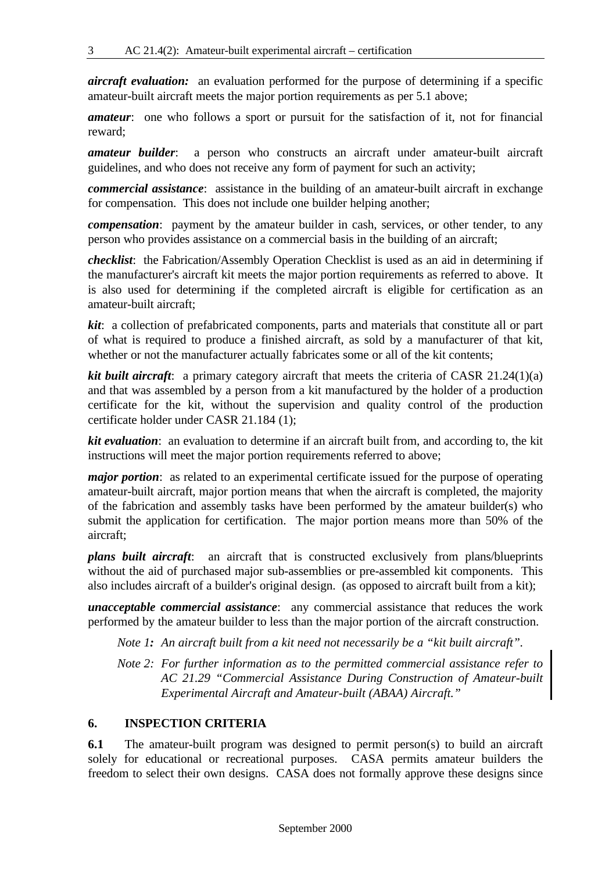*aircraft evaluation:* an evaluation performed for the purpose of determining if a specific amateur-built aircraft meets the major portion requirements as per 5.1 above;

*amateur*: one who follows a sport or pursuit for the satisfaction of it, not for financial reward;

*amateur builder*: a person who constructs an aircraft under amateur-built aircraft guidelines, and who does not receive any form of payment for such an activity;

*commercial assistance*: assistance in the building of an amateur-built aircraft in exchange for compensation. This does not include one builder helping another;

*compensation*: payment by the amateur builder in cash, services, or other tender, to any person who provides assistance on a commercial basis in the building of an aircraft;

*checklist*: the Fabrication/Assembly Operation Checklist is used as an aid in determining if the manufacturer's aircraft kit meets the major portion requirements as referred to above. It is also used for determining if the completed aircraft is eligible for certification as an amateur-built aircraft;

*kit*: a collection of prefabricated components, parts and materials that constitute all or part of what is required to produce a finished aircraft, as sold by a manufacturer of that kit, whether or not the manufacturer actually fabricates some or all of the kit contents;

*kit built aircraft*: a primary category aircraft that meets the criteria of CASR 21.24(1)(a) and that was assembled by a person from a kit manufactured by the holder of a production certificate for the kit, without the supervision and quality control of the production certificate holder under CASR 21.184 (1);

*kit evaluation*: an evaluation to determine if an aircraft built from, and according to, the kit instructions will meet the major portion requirements referred to above;

*major portion*: as related to an experimental certificate issued for the purpose of operating amateur-built aircraft, major portion means that when the aircraft is completed, the majority of the fabrication and assembly tasks have been performed by the amateur builder(s) who submit the application for certification. The major portion means more than 50% of the aircraft;

*plans built aircraft*: an aircraft that is constructed exclusively from plans/blueprints without the aid of purchased major sub-assemblies or pre-assembled kit components. This also includes aircraft of a builder's original design. (as opposed to aircraft built from a kit);

*unacceptable commercial assistance*: any commercial assistance that reduces the work performed by the amateur builder to less than the major portion of the aircraft construction.

*Note 1: An aircraft built from a kit need not necessarily be a "kit built aircraft".*

*Note 2: For further information as to the permitted commercial assistance refer to AC 21.29 "Commercial Assistance During Construction of Amateur-built Experimental Aircraft and Amateur-built (ABAA) Aircraft."*

#### **6. INSPECTION CRITERIA**

**6.1** The amateur-built program was designed to permit person(s) to build an aircraft solely for educational or recreational purposes. CASA permits amateur builders the freedom to select their own designs. CASA does not formally approve these designs since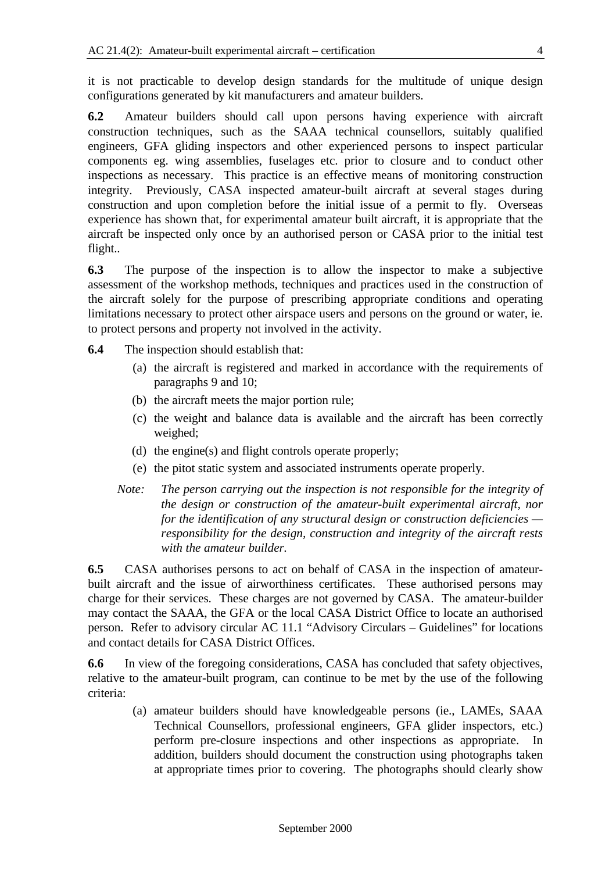it is not practicable to develop design standards for the multitude of unique design configurations generated by kit manufacturers and amateur builders.

**6.2** Amateur builders should call upon persons having experience with aircraft construction techniques, such as the SAAA technical counsellors, suitably qualified engineers, GFA gliding inspectors and other experienced persons to inspect particular components eg. wing assemblies, fuselages etc. prior to closure and to conduct other inspections as necessary. This practice is an effective means of monitoring construction integrity. Previously, CASA inspected amateur-built aircraft at several stages during construction and upon completion before the initial issue of a permit to fly. Overseas experience has shown that, for experimental amateur built aircraft, it is appropriate that the aircraft be inspected only once by an authorised person or CASA prior to the initial test flight..

**6.3** The purpose of the inspection is to allow the inspector to make a subjective assessment of the workshop methods, techniques and practices used in the construction of the aircraft solely for the purpose of prescribing appropriate conditions and operating limitations necessary to protect other airspace users and persons on the ground or water, ie. to protect persons and property not involved in the activity.

- **6.4** The inspection should establish that:
	- (a) the aircraft is registered and marked in accordance with the requirements of paragraphs 9 and 10;
	- (b) the aircraft meets the major portion rule;
	- (c) the weight and balance data is available and the aircraft has been correctly weighed;
	- (d) the engine(s) and flight controls operate properly;
	- (e) the pitot static system and associated instruments operate properly.
	- *Note: The person carrying out the inspection is not responsible for the integrity of the design or construction of the amateur-built experimental aircraft, nor for the identification of any structural design or construction deficiencies responsibility for the design, construction and integrity of the aircraft rests with the amateur builder.*

**6.5** CASA authorises persons to act on behalf of CASA in the inspection of amateurbuilt aircraft and the issue of airworthiness certificates. These authorised persons may charge for their services. These charges are not governed by CASA. The amateur-builder may contact the SAAA, the GFA or the local CASA District Office to locate an authorised person. Refer to advisory circular AC 11.1 "Advisory Circulars – Guidelines" for locations and contact details for CASA District Offices.

**6.6** In view of the foregoing considerations, CASA has concluded that safety objectives, relative to the amateur-built program, can continue to be met by the use of the following criteria:

(a) amateur builders should have knowledgeable persons (ie., LAMEs, SAAA Technical Counsellors, professional engineers, GFA glider inspectors, etc.) perform pre-closure inspections and other inspections as appropriate. In addition, builders should document the construction using photographs taken at appropriate times prior to covering. The photographs should clearly show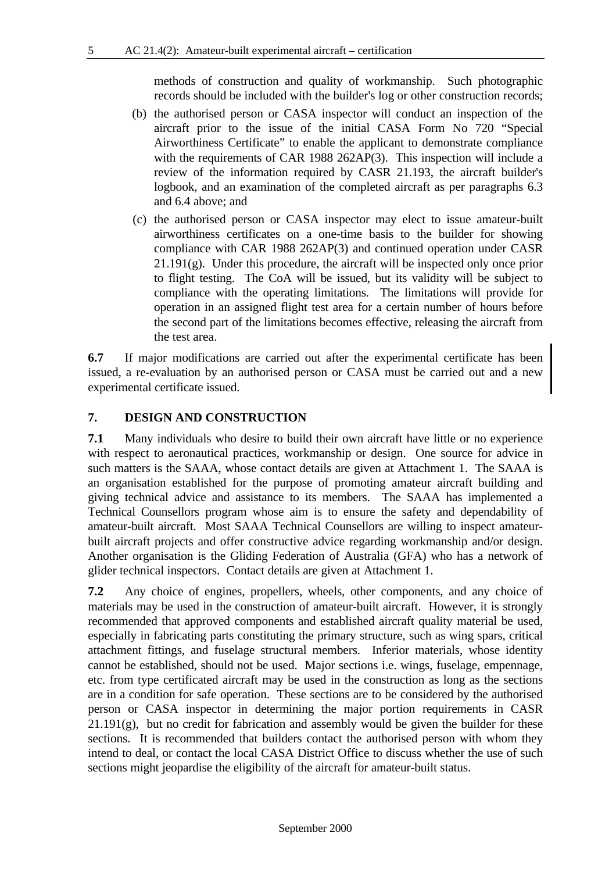methods of construction and quality of workmanship. Such photographic records should be included with the builder's log or other construction records;

- (b) the authorised person or CASA inspector will conduct an inspection of the aircraft prior to the issue of the initial CASA Form No 720 "Special Airworthiness Certificate" to enable the applicant to demonstrate compliance with the requirements of CAR 1988 262AP(3). This inspection will include a review of the information required by CASR 21.193, the aircraft builder's logbook, and an examination of the completed aircraft as per paragraphs 6.3 and 6.4 above; and
- (c) the authorised person or CASA inspector may elect to issue amateur-built airworthiness certificates on a one-time basis to the builder for showing compliance with CAR 1988 262AP(3) and continued operation under CASR  $21.191(g)$ . Under this procedure, the aircraft will be inspected only once prior to flight testing. The CoA will be issued, but its validity will be subject to compliance with the operating limitations. The limitations will provide for operation in an assigned flight test area for a certain number of hours before the second part of the limitations becomes effective, releasing the aircraft from the test area.

**6.7** If major modifications are carried out after the experimental certificate has been issued, a re-evaluation by an authorised person or CASA must be carried out and a new experimental certificate issued.

#### **7. DESIGN AND CONSTRUCTION**

**7.1** Many individuals who desire to build their own aircraft have little or no experience with respect to aeronautical practices, workmanship or design. One source for advice in such matters is the SAAA, whose contact details are given at Attachment 1. The SAAA is an organisation established for the purpose of promoting amateur aircraft building and giving technical advice and assistance to its members. The SAAA has implemented a Technical Counsellors program whose aim is to ensure the safety and dependability of amateur-built aircraft. Most SAAA Technical Counsellors are willing to inspect amateurbuilt aircraft projects and offer constructive advice regarding workmanship and/or design. Another organisation is the Gliding Federation of Australia (GFA) who has a network of glider technical inspectors. Contact details are given at Attachment 1.

**7.2** Any choice of engines, propellers, wheels, other components, and any choice of materials may be used in the construction of amateur-built aircraft. However, it is strongly recommended that approved components and established aircraft quality material be used, especially in fabricating parts constituting the primary structure, such as wing spars, critical attachment fittings, and fuselage structural members. Inferior materials, whose identity cannot be established, should not be used. Major sections i.e. wings, fuselage, empennage, etc. from type certificated aircraft may be used in the construction as long as the sections are in a condition for safe operation. These sections are to be considered by the authorised person or CASA inspector in determining the major portion requirements in CASR  $21.191(g)$ , but no credit for fabrication and assembly would be given the builder for these sections. It is recommended that builders contact the authorised person with whom they intend to deal, or contact the local CASA District Office to discuss whether the use of such sections might jeopardise the eligibility of the aircraft for amateur-built status.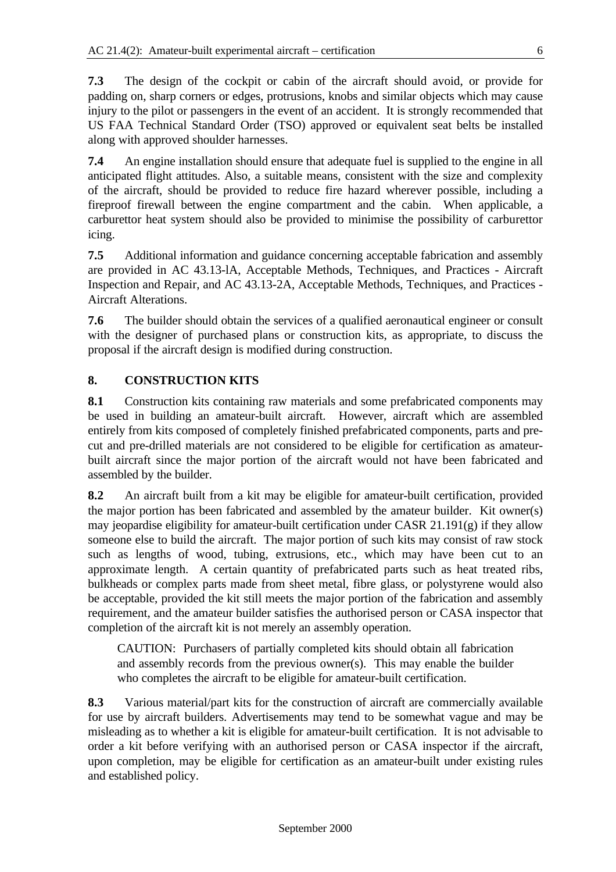**7.3** The design of the cockpit or cabin of the aircraft should avoid, or provide for padding on, sharp corners or edges, protrusions, knobs and similar objects which may cause injury to the pilot or passengers in the event of an accident. It is strongly recommended that US FAA Technical Standard Order (TSO) approved or equivalent seat belts be installed along with approved shoulder harnesses.

**7.4** An engine installation should ensure that adequate fuel is supplied to the engine in all anticipated flight attitudes. Also, a suitable means, consistent with the size and complexity of the aircraft, should be provided to reduce fire hazard wherever possible, including a fireproof firewall between the engine compartment and the cabin. When applicable, a carburettor heat system should also be provided to minimise the possibility of carburettor icing.

**7.5** Additional information and guidance concerning acceptable fabrication and assembly are provided in AC 43.13-lA, Acceptable Methods, Techniques, and Practices - Aircraft Inspection and Repair, and AC 43.13-2A, Acceptable Methods, Techniques, and Practices - Aircraft Alterations.

**7.6** The builder should obtain the services of a qualified aeronautical engineer or consult with the designer of purchased plans or construction kits, as appropriate, to discuss the proposal if the aircraft design is modified during construction.

#### **8. CONSTRUCTION KITS**

**8.1** Construction kits containing raw materials and some prefabricated components may be used in building an amateur-built aircraft. However, aircraft which are assembled entirely from kits composed of completely finished prefabricated components, parts and precut and pre-drilled materials are not considered to be eligible for certification as amateurbuilt aircraft since the major portion of the aircraft would not have been fabricated and assembled by the builder.

**8.2** An aircraft built from a kit may be eligible for amateur-built certification, provided the major portion has been fabricated and assembled by the amateur builder. Kit owner(s) may jeopardise eligibility for amateur-built certification under CASR 21.191(g) if they allow someone else to build the aircraft. The major portion of such kits may consist of raw stock such as lengths of wood, tubing, extrusions, etc., which may have been cut to an approximate length. A certain quantity of prefabricated parts such as heat treated ribs, bulkheads or complex parts made from sheet metal, fibre glass, or polystyrene would also be acceptable, provided the kit still meets the major portion of the fabrication and assembly requirement, and the amateur builder satisfies the authorised person or CASA inspector that completion of the aircraft kit is not merely an assembly operation.

CAUTION: Purchasers of partially completed kits should obtain all fabrication and assembly records from the previous owner(s). This may enable the builder who completes the aircraft to be eligible for amateur-built certification.

**8.3** Various material/part kits for the construction of aircraft are commercially available for use by aircraft builders. Advertisements may tend to be somewhat vague and may be misleading as to whether a kit is eligible for amateur-built certification. It is not advisable to order a kit before verifying with an authorised person or CASA inspector if the aircraft, upon completion, may be eligible for certification as an amateur-built under existing rules and established policy.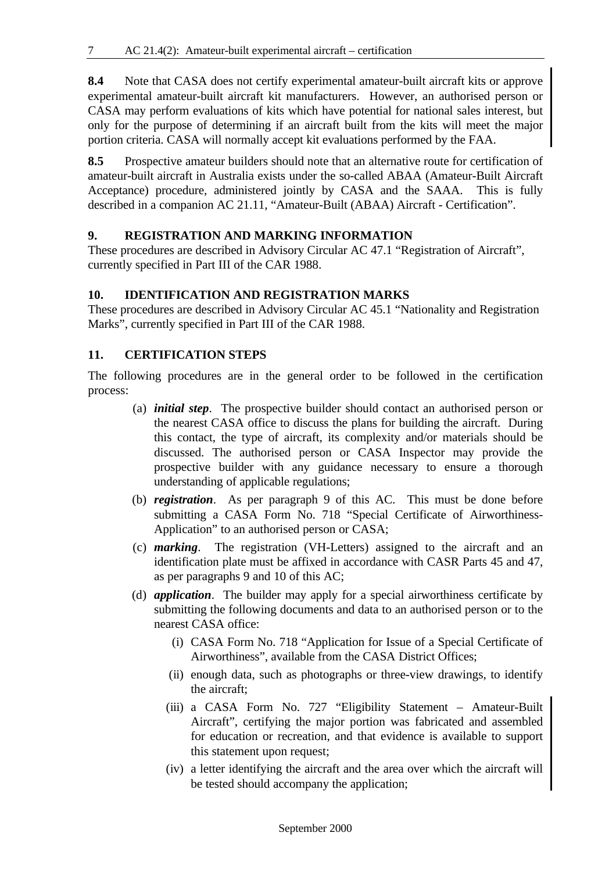**8.4** Note that CASA does not certify experimental amateur-built aircraft kits or approve experimental amateur-built aircraft kit manufacturers. However, an authorised person or CASA may perform evaluations of kits which have potential for national sales interest, but only for the purpose of determining if an aircraft built from the kits will meet the major portion criteria. CASA will normally accept kit evaluations performed by the FAA.

**8.5** Prospective amateur builders should note that an alternative route for certification of amateur-built aircraft in Australia exists under the so-called ABAA (Amateur-Built Aircraft Acceptance) procedure, administered jointly by CASA and the SAAA. This is fully described in a companion AC 21.11, "Amateur-Built (ABAA) Aircraft - Certification".

#### **9. REGISTRATION AND MARKING INFORMATION**

These procedures are described in Advisory Circular AC 47.1 "Registration of Aircraft", currently specified in Part III of the CAR 1988.

#### **10. IDENTIFICATION AND REGISTRATION MARKS**

These procedures are described in Advisory Circular AC 45.1 "Nationality and Registration Marks", currently specified in Part III of the CAR 1988.

### **11. CERTIFICATION STEPS**

The following procedures are in the general order to be followed in the certification process:

- (a) *initial step*. The prospective builder should contact an authorised person or the nearest CASA office to discuss the plans for building the aircraft. During this contact, the type of aircraft, its complexity and/or materials should be discussed. The authorised person or CASA Inspector may provide the prospective builder with any guidance necessary to ensure a thorough understanding of applicable regulations;
- (b) *registration*. As per paragraph 9 of this AC. This must be done before submitting a CASA Form No. 718 "Special Certificate of Airworthiness-Application" to an authorised person or CASA;
- (c) *marking*. The registration (VH-Letters) assigned to the aircraft and an identification plate must be affixed in accordance with CASR Parts 45 and 47, as per paragraphs 9 and 10 of this AC;
- (d) *application*. The builder may apply for a special airworthiness certificate by submitting the following documents and data to an authorised person or to the nearest CASA office:
	- (i) CASA Form No. 718 "Application for Issue of a Special Certificate of Airworthiness", available from the CASA District Offices;
	- (ii) enough data, such as photographs or three-view drawings, to identify the aircraft;
	- (iii) a CASA Form No. 727 "Eligibility Statement Amateur-Built Aircraft", certifying the major portion was fabricated and assembled for education or recreation, and that evidence is available to support this statement upon request;
	- (iv) a letter identifying the aircraft and the area over which the aircraft will be tested should accompany the application;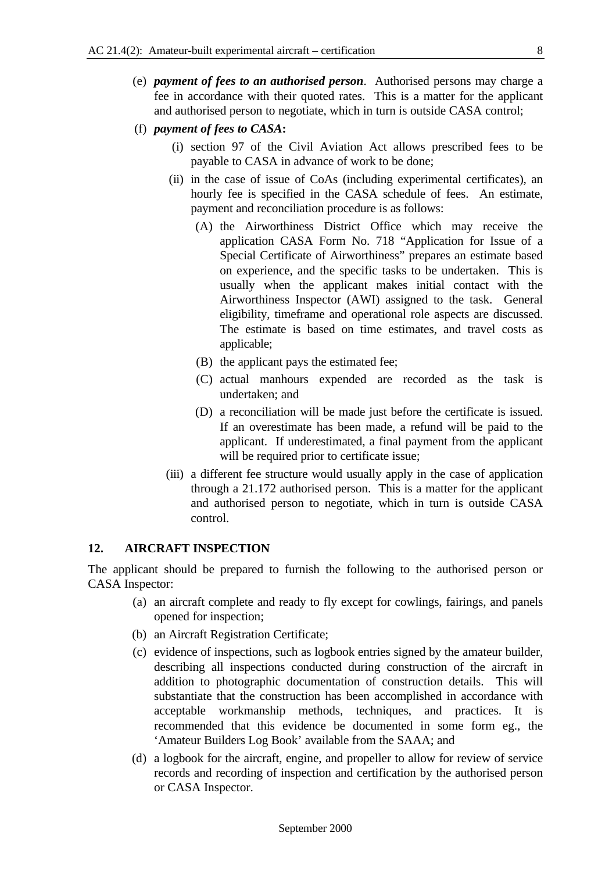- (e) *payment of fees to an authorised person*. Authorised persons may charge a fee in accordance with their quoted rates. This is a matter for the applicant and authorised person to negotiate, which in turn is outside CASA control;
- (f) *payment of fees to CASA***:**
	- (i) section 97 of the Civil Aviation Act allows prescribed fees to be payable to CASA in advance of work to be done;
	- (ii) in the case of issue of CoAs (including experimental certificates), an hourly fee is specified in the CASA schedule of fees. An estimate, payment and reconciliation procedure is as follows:
		- (A) the Airworthiness District Office which may receive the application CASA Form No. 718 "Application for Issue of a Special Certificate of Airworthiness" prepares an estimate based on experience, and the specific tasks to be undertaken. This is usually when the applicant makes initial contact with the Airworthiness Inspector (AWI) assigned to the task. General eligibility, timeframe and operational role aspects are discussed. The estimate is based on time estimates, and travel costs as applicable;
		- (B) the applicant pays the estimated fee;
		- (C) actual manhours expended are recorded as the task is undertaken; and
		- (D) a reconciliation will be made just before the certificate is issued. If an overestimate has been made, a refund will be paid to the applicant. If underestimated, a final payment from the applicant will be required prior to certificate issue;
	- (iii) a different fee structure would usually apply in the case of application through a 21.172 authorised person. This is a matter for the applicant and authorised person to negotiate, which in turn is outside CASA control.

#### **12. AIRCRAFT INSPECTION**

The applicant should be prepared to furnish the following to the authorised person or CASA Inspector:

- (a) an aircraft complete and ready to fly except for cowlings, fairings, and panels opened for inspection;
- (b) an Aircraft Registration Certificate;
- (c) evidence of inspections, such as logbook entries signed by the amateur builder, describing all inspections conducted during construction of the aircraft in addition to photographic documentation of construction details. This will substantiate that the construction has been accomplished in accordance with acceptable workmanship methods, techniques, and practices. It is recommended that this evidence be documented in some form eg., the 'Amateur Builders Log Book' available from the SAAA; and
- (d) a logbook for the aircraft, engine, and propeller to allow for review of service records and recording of inspection and certification by the authorised person or CASA Inspector.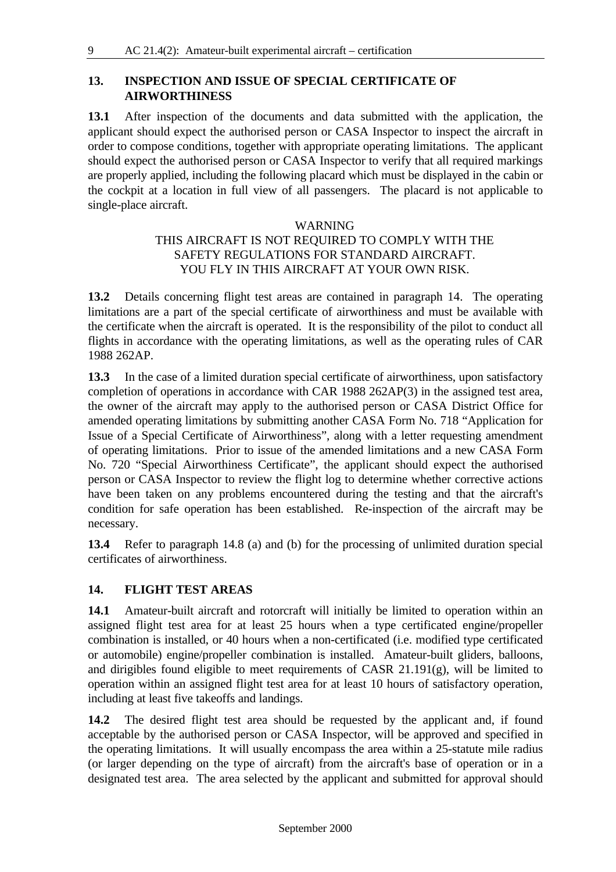#### **13. INSPECTION AND ISSUE OF SPECIAL CERTIFICATE OF AIRWORTHINESS**

**13.1** After inspection of the documents and data submitted with the application, the applicant should expect the authorised person or CASA Inspector to inspect the aircraft in order to compose conditions, together with appropriate operating limitations. The applicant should expect the authorised person or CASA Inspector to verify that all required markings are properly applied, including the following placard which must be displayed in the cabin or the cockpit at a location in full view of all passengers. The placard is not applicable to single-place aircraft.

#### WARNING

#### THIS AIRCRAFT IS NOT REQUIRED TO COMPLY WITH THE SAFETY REGULATIONS FOR STANDARD AIRCRAFT. YOU FLY IN THIS AIRCRAFT AT YOUR OWN RISK.

**13.2** Details concerning flight test areas are contained in paragraph 14. The operating limitations are a part of the special certificate of airworthiness and must be available with the certificate when the aircraft is operated. It is the responsibility of the pilot to conduct all flights in accordance with the operating limitations, as well as the operating rules of CAR 1988 262AP.

**13.3** In the case of a limited duration special certificate of airworthiness, upon satisfactory completion of operations in accordance with CAR 1988 262AP(3) in the assigned test area, the owner of the aircraft may apply to the authorised person or CASA District Office for amended operating limitations by submitting another CASA Form No. 718 "Application for Issue of a Special Certificate of Airworthiness", along with a letter requesting amendment of operating limitations. Prior to issue of the amended limitations and a new CASA Form No. 720 "Special Airworthiness Certificate", the applicant should expect the authorised person or CASA Inspector to review the flight log to determine whether corrective actions have been taken on any problems encountered during the testing and that the aircraft's condition for safe operation has been established. Re-inspection of the aircraft may be necessary.

**13.4** Refer to paragraph 14.8 (a) and (b) for the processing of unlimited duration special certificates of airworthiness.

#### **14. FLIGHT TEST AREAS**

**14.1** Amateur-built aircraft and rotorcraft will initially be limited to operation within an assigned flight test area for at least 25 hours when a type certificated engine/propeller combination is installed, or 40 hours when a non-certificated (i.e. modified type certificated or automobile) engine/propeller combination is installed. Amateur-built gliders, balloons, and dirigibles found eligible to meet requirements of CASR 21.191(g), will be limited to operation within an assigned flight test area for at least 10 hours of satisfactory operation, including at least five takeoffs and landings.

**14.2** The desired flight test area should be requested by the applicant and, if found acceptable by the authorised person or CASA Inspector, will be approved and specified in the operating limitations. It will usually encompass the area within a 25-statute mile radius (or larger depending on the type of aircraft) from the aircraft's base of operation or in a designated test area. The area selected by the applicant and submitted for approval should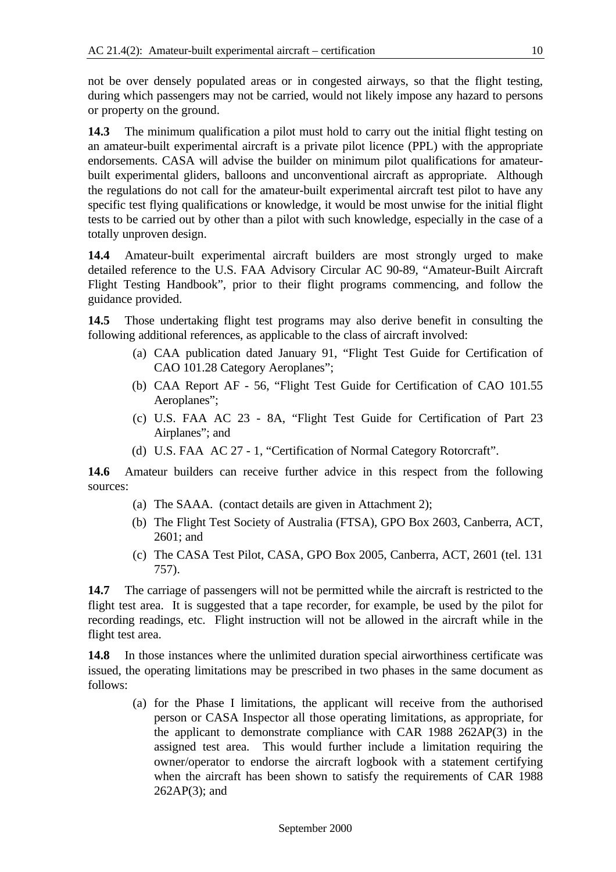not be over densely populated areas or in congested airways, so that the flight testing, during which passengers may not be carried, would not likely impose any hazard to persons or property on the ground.

**14.3** The minimum qualification a pilot must hold to carry out the initial flight testing on an amateur-built experimental aircraft is a private pilot licence (PPL) with the appropriate endorsements. CASA will advise the builder on minimum pilot qualifications for amateurbuilt experimental gliders, balloons and unconventional aircraft as appropriate. Although the regulations do not call for the amateur-built experimental aircraft test pilot to have any specific test flying qualifications or knowledge, it would be most unwise for the initial flight tests to be carried out by other than a pilot with such knowledge, especially in the case of a totally unproven design.

**14.4** Amateur-built experimental aircraft builders are most strongly urged to make detailed reference to the U.S. FAA Advisory Circular AC 90-89, "Amateur-Built Aircraft Flight Testing Handbook", prior to their flight programs commencing, and follow the guidance provided.

**14.5** Those undertaking flight test programs may also derive benefit in consulting the following additional references, as applicable to the class of aircraft involved:

- (a) CAA publication dated January 91, "Flight Test Guide for Certification of CAO 101.28 Category Aeroplanes";
- (b) CAA Report AF 56, "Flight Test Guide for Certification of CAO 101.55 Aeroplanes";
- (c) U.S. FAA AC 23 8A, "Flight Test Guide for Certification of Part 23 Airplanes"; and
- (d) U.S. FAA AC 27 1, "Certification of Normal Category Rotorcraft".

**14.6** Amateur builders can receive further advice in this respect from the following sources:

- (a) The SAAA. (contact details are given in Attachment 2);
- (b) The Flight Test Society of Australia (FTSA), GPO Box 2603, Canberra, ACT, 2601; and
- (c) The CASA Test Pilot, CASA, GPO Box 2005, Canberra, ACT, 2601 (tel. 131 757).

**14.7** The carriage of passengers will not be permitted while the aircraft is restricted to the flight test area. It is suggested that a tape recorder, for example, be used by the pilot for recording readings, etc. Flight instruction will not be allowed in the aircraft while in the flight test area.

**14.8** In those instances where the unlimited duration special airworthiness certificate was issued, the operating limitations may be prescribed in two phases in the same document as follows:

(a) for the Phase I limitations, the applicant will receive from the authorised person or CASA Inspector all those operating limitations, as appropriate, for the applicant to demonstrate compliance with CAR 1988 262AP(3) in the assigned test area. This would further include a limitation requiring the owner/operator to endorse the aircraft logbook with a statement certifying when the aircraft has been shown to satisfy the requirements of CAR 1988 262AP(3); and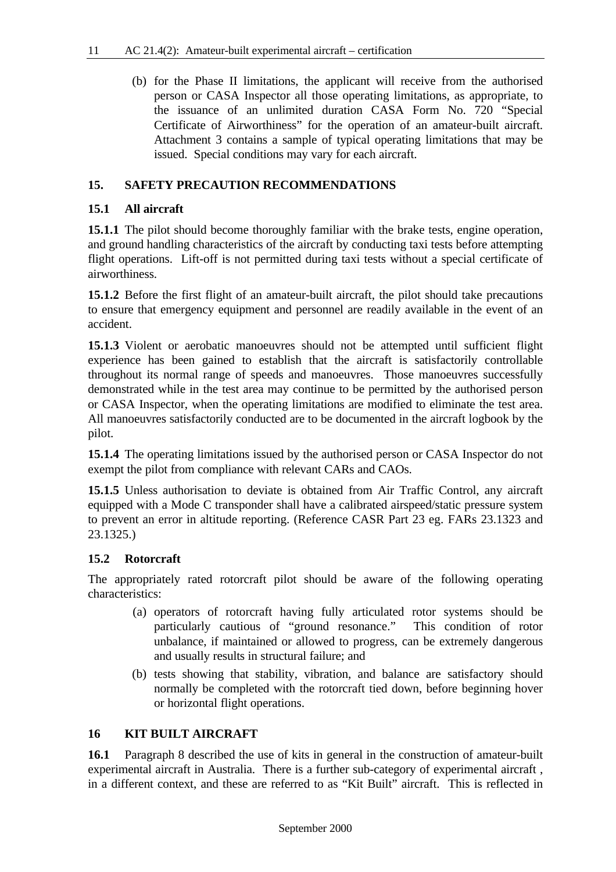(b) for the Phase II limitations, the applicant will receive from the authorised person or CASA Inspector all those operating limitations, as appropriate, to the issuance of an unlimited duration CASA Form No. 720 "Special Certificate of Airworthiness" for the operation of an amateur-built aircraft. Attachment 3 contains a sample of typical operating limitations that may be issued. Special conditions may vary for each aircraft.

#### **15. SAFETY PRECAUTION RECOMMENDATIONS**

#### **15.1 All aircraft**

**15.1.1** The pilot should become thoroughly familiar with the brake tests, engine operation, and ground handling characteristics of the aircraft by conducting taxi tests before attempting flight operations. Lift-off is not permitted during taxi tests without a special certificate of airworthiness.

**15.1.2** Before the first flight of an amateur-built aircraft, the pilot should take precautions to ensure that emergency equipment and personnel are readily available in the event of an accident.

**15.1.3** Violent or aerobatic manoeuvres should not be attempted until sufficient flight experience has been gained to establish that the aircraft is satisfactorily controllable throughout its normal range of speeds and manoeuvres. Those manoeuvres successfully demonstrated while in the test area may continue to be permitted by the authorised person or CASA Inspector, when the operating limitations are modified to eliminate the test area. All manoeuvres satisfactorily conducted are to be documented in the aircraft logbook by the pilot.

**15.1.4** The operating limitations issued by the authorised person or CASA Inspector do not exempt the pilot from compliance with relevant CARs and CAOs.

**15.1.5** Unless authorisation to deviate is obtained from Air Traffic Control, any aircraft equipped with a Mode C transponder shall have a calibrated airspeed/static pressure system to prevent an error in altitude reporting. (Reference CASR Part 23 eg. FARs 23.1323 and 23.1325.)

#### **15.2 Rotorcraft**

The appropriately rated rotorcraft pilot should be aware of the following operating characteristics:

- (a) operators of rotorcraft having fully articulated rotor systems should be particularly cautious of "ground resonance." This condition of rotor unbalance, if maintained or allowed to progress, can be extremely dangerous and usually results in structural failure; and
- (b) tests showing that stability, vibration, and balance are satisfactory should normally be completed with the rotorcraft tied down, before beginning hover or horizontal flight operations.

#### **16 KIT BUILT AIRCRAFT**

**16.1** Paragraph 8 described the use of kits in general in the construction of amateur-built experimental aircraft in Australia. There is a further sub-category of experimental aircraft , in a different context, and these are referred to as "Kit Built" aircraft. This is reflected in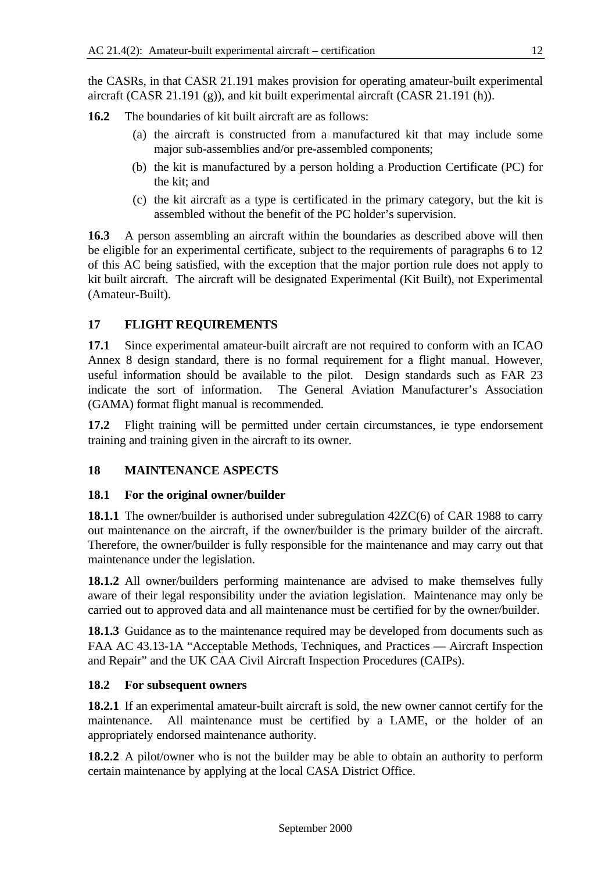the CASRs, in that CASR 21.191 makes provision for operating amateur-built experimental aircraft (CASR 21.191 (g)), and kit built experimental aircraft (CASR 21.191 (h)).

**16.2** The boundaries of kit built aircraft are as follows:

- (a) the aircraft is constructed from a manufactured kit that may include some major sub-assemblies and/or pre-assembled components;
- (b) the kit is manufactured by a person holding a Production Certificate (PC) for the kit; and
- (c) the kit aircraft as a type is certificated in the primary category, but the kit is assembled without the benefit of the PC holder's supervision.

**16.3** A person assembling an aircraft within the boundaries as described above will then be eligible for an experimental certificate, subject to the requirements of paragraphs 6 to 12 of this AC being satisfied, with the exception that the major portion rule does not apply to kit built aircraft. The aircraft will be designated Experimental (Kit Built), not Experimental (Amateur-Built).

### **17 FLIGHT REQUIREMENTS**

**17.1** Since experimental amateur-built aircraft are not required to conform with an ICAO Annex 8 design standard, there is no formal requirement for a flight manual. However, useful information should be available to the pilot. Design standards such as FAR 23 indicate the sort of information. The General Aviation Manufacturer's Association (GAMA) format flight manual is recommended.

**17.2** Flight training will be permitted under certain circumstances, ie type endorsement training and training given in the aircraft to its owner.

#### **18 MAINTENANCE ASPECTS**

#### **18.1 For the original owner/builder**

**18.1.1** The owner/builder is authorised under subregulation 42ZC(6) of CAR 1988 to carry out maintenance on the aircraft, if the owner/builder is the primary builder of the aircraft. Therefore, the owner/builder is fully responsible for the maintenance and may carry out that maintenance under the legislation.

**18.1.2** All owner/builders performing maintenance are advised to make themselves fully aware of their legal responsibility under the aviation legislation. Maintenance may only be carried out to approved data and all maintenance must be certified for by the owner/builder.

**18.1.3** Guidance as to the maintenance required may be developed from documents such as FAA AC 43.13-1A "Acceptable Methods, Techniques, and Practices — Aircraft Inspection and Repair" and the UK CAA Civil Aircraft Inspection Procedures (CAIPs).

#### **18.2 For subsequent owners**

**18.2.1** If an experimental amateur-built aircraft is sold, the new owner cannot certify for the maintenance. All maintenance must be certified by a LAME, or the holder of an appropriately endorsed maintenance authority.

**18.2.2** A pilot/owner who is not the builder may be able to obtain an authority to perform certain maintenance by applying at the local CASA District Office.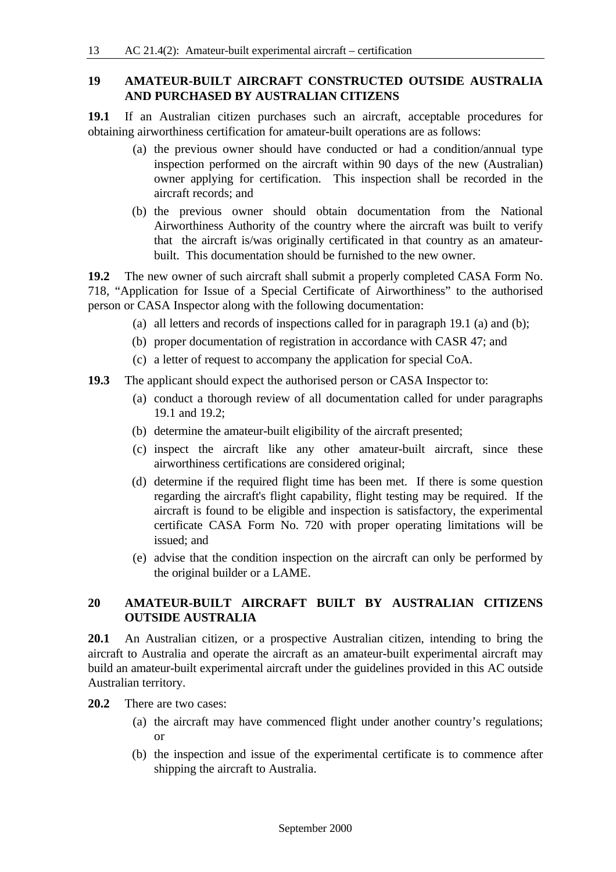#### **19 AMATEUR-BUILT AIRCRAFT CONSTRUCTED OUTSIDE AUSTRALIA AND PURCHASED BY AUSTRALIAN CITIZENS**

**19.1** If an Australian citizen purchases such an aircraft, acceptable procedures for obtaining airworthiness certification for amateur-built operations are as follows:

- (a) the previous owner should have conducted or had a condition/annual type inspection performed on the aircraft within 90 days of the new (Australian) owner applying for certification. This inspection shall be recorded in the aircraft records; and
- (b) the previous owner should obtain documentation from the National Airworthiness Authority of the country where the aircraft was built to verify that the aircraft is/was originally certificated in that country as an amateurbuilt. This documentation should be furnished to the new owner.

**19.2** The new owner of such aircraft shall submit a properly completed CASA Form No. 718, "Application for Issue of a Special Certificate of Airworthiness" to the authorised person or CASA Inspector along with the following documentation:

- (a) all letters and records of inspections called for in paragraph 19.1 (a) and (b);
- (b) proper documentation of registration in accordance with CASR 47; and
- (c) a letter of request to accompany the application for special CoA.
- **19.3** The applicant should expect the authorised person or CASA Inspector to:
	- (a) conduct a thorough review of all documentation called for under paragraphs 19.1 and 19.2;
	- (b) determine the amateur-built eligibility of the aircraft presented;
	- (c) inspect the aircraft like any other amateur-built aircraft, since these airworthiness certifications are considered original;
	- (d) determine if the required flight time has been met. If there is some question regarding the aircraft's flight capability, flight testing may be required. If the aircraft is found to be eligible and inspection is satisfactory, the experimental certificate CASA Form No. 720 with proper operating limitations will be issued; and
	- (e) advise that the condition inspection on the aircraft can only be performed by the original builder or a LAME.

#### **20 AMATEUR-BUILT AIRCRAFT BUILT BY AUSTRALIAN CITIZENS OUTSIDE AUSTRALIA**

**20.1** An Australian citizen, or a prospective Australian citizen, intending to bring the aircraft to Australia and operate the aircraft as an amateur-built experimental aircraft may build an amateur-built experimental aircraft under the guidelines provided in this AC outside Australian territory.

**20.2** There are two cases:

- (a) the aircraft may have commenced flight under another country's regulations; or
- (b) the inspection and issue of the experimental certificate is to commence after shipping the aircraft to Australia.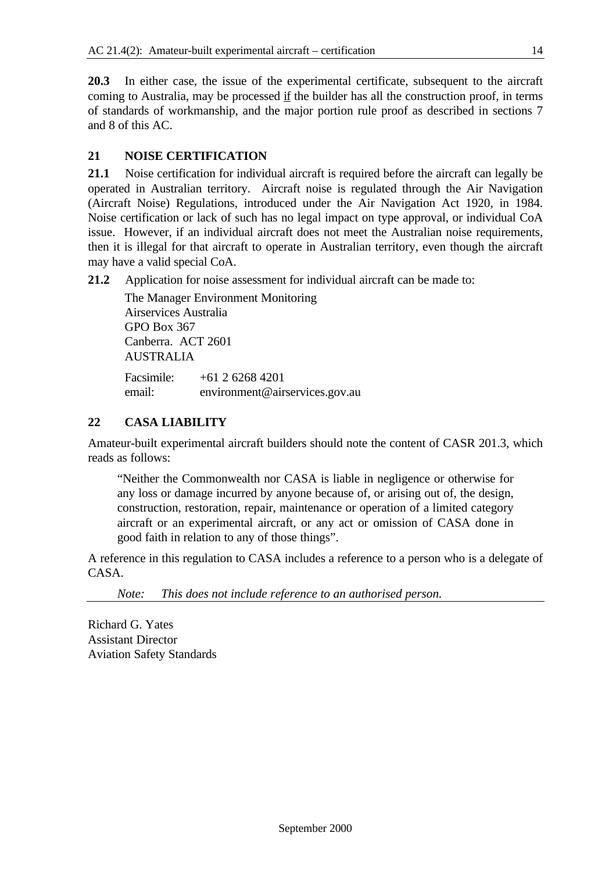**20.3** In either case, the issue of the experimental certificate, subsequent to the aircraft coming to Australia, may be processed if the builder has all the construction proof, in terms of standards of workmanship, and the major portion rule proof as described in sections 7 and 8 of this AC.

### **21 NOISE CERTIFICATION**

**21.1** Noise certification for individual aircraft is required before the aircraft can legally be operated in Australian territory. Aircraft noise is regulated through the Air Navigation (Aircraft Noise) Regulations, introduced under the Air Navigation Act 1920, in 1984. Noise certification or lack of such has no legal impact on type approval, or individual CoA issue. However, if an individual aircraft does not meet the Australian noise requirements, then it is illegal for that aircraft to operate in Australian territory, even though the aircraft may have a valid special CoA.

**21.2** Application for noise assessment for individual aircraft can be made to:

The Manager Environment Monitoring Airservices Australia GPO Box 367 Canberra. ACT 2601 AUSTRALIA Facsimile: +61 2 6268 4201 email: environment@airservices.gov.au

### **22 CASA LIABILITY**

Amateur-built experimental aircraft builders should note the content of CASR 201.3, which reads as follows:

"Neither the Commonwealth nor CASA is liable in negligence or otherwise for any loss or damage incurred by anyone because of, or arising out of, the design, construction, restoration, repair, maintenance or operation of a limited category aircraft or an experimental aircraft, or any act or omission of CASA done in good faith in relation to any of those things".

A reference in this regulation to CASA includes a reference to a person who is a delegate of CASA.

*Note: This does not include reference to an authorised person.*

Richard G. Yates Assistant Director Aviation Safety Standards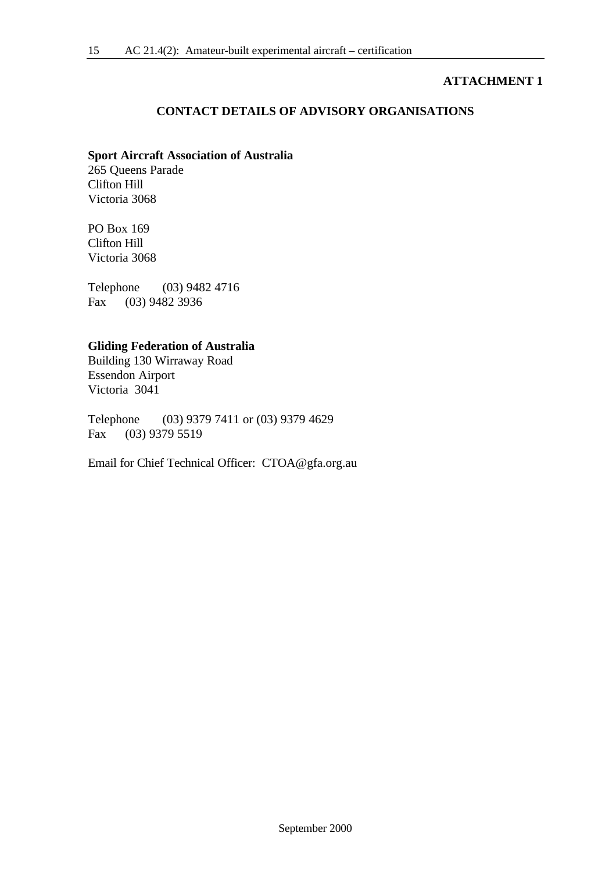#### **ATTACHMENT 1**

#### **CONTACT DETAILS OF ADVISORY ORGANISATIONS**

#### **Sport Aircraft Association of Australia**

265 Queens Parade Clifton Hill Victoria 3068

PO Box 169 Clifton Hill Victoria 3068

Telephone (03) 9482 4716 Fax (03) 9482 3936

#### **Gliding Federation of Australia**

Building 130 Wirraway Road Essendon Airport Victoria 3041

Telephone (03) 9379 7411 or (03) 9379 4629 Fax (03) 9379 5519

Email for Chief Technical Officer: CTOA@gfa.org.au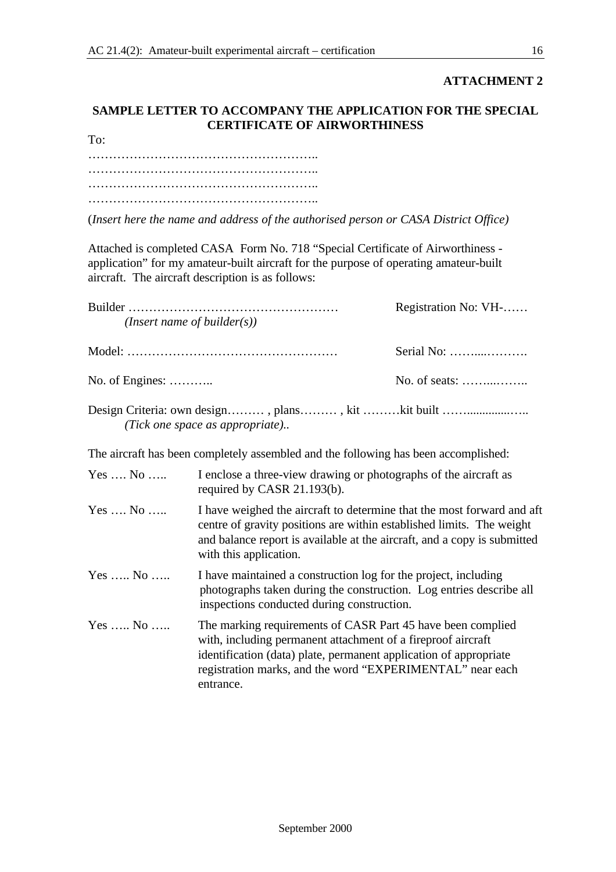#### **ATTACHMENT 2**

#### **SAMPLE LETTER TO ACCOMPANY THE APPLICATION FOR THE SPECIAL CERTIFICATE OF AIRWORTHINESS**

| To: |  |
|-----|--|
|     |  |
|     |  |
|     |  |
|     |  |

(*Insert here the name and address of the authorised person or CASA District Office)*

Attached is completed CASA Form No. 718 "Special Certificate of Airworthiness application" for my amateur-built aircraft for the purpose of operating amateur-built aircraft. The aircraft description is as follows:

| ( <i>Insert name of builder(s)</i> )                                                 | Registration No: VH-  |
|--------------------------------------------------------------------------------------|-----------------------|
|                                                                                      | Serial No:            |
| No. of Engines: $\dots$                                                              | No. of seats: $\dots$ |
| Design Criteria: own design, plans, kit kit built<br>(Tick one space as appropriate) |                       |

The aircraft has been completely assembled and the following has been accomplished:

| $Yes \dots No \dots$   | I enclose a three-view drawing or photographs of the aircraft as<br>required by CASR 21.193(b).                                                                                                                                                                            |
|------------------------|----------------------------------------------------------------------------------------------------------------------------------------------------------------------------------------------------------------------------------------------------------------------------|
| $Yes \dots No \dots$   | I have weighed the aircraft to determine that the most forward and aft<br>centre of gravity positions are within established limits. The weight<br>and balance report is available at the aircraft, and a copy is submitted<br>with this application.                      |
| $Yes \ldots No \ldots$ | I have maintained a construction log for the project, including<br>photographs taken during the construction. Log entries describe all<br>inspections conducted during construction.                                                                                       |
| $Yes \dots No \dots$   | The marking requirements of CASR Part 45 have been complied<br>with, including permanent attachment of a fireproof aircraft<br>identification (data) plate, permanent application of appropriate<br>registration marks, and the word "EXPERIMENTAL" near each<br>entrance. |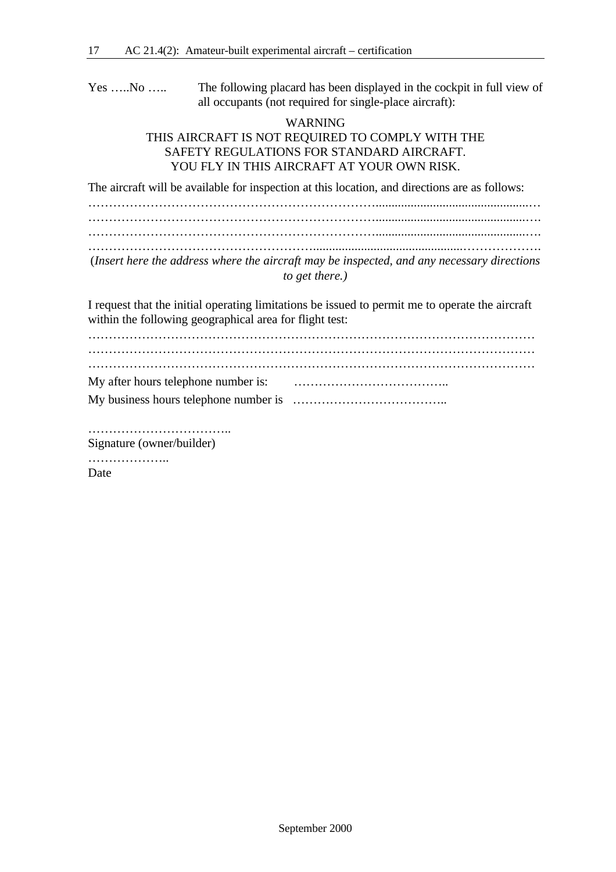Yes …..No ….. The following placard has been displayed in the cockpit in full view of all occupants (not required for single-place aircraft):

#### WARNING THIS AIRCRAFT IS NOT REQUIRED TO COMPLY WITH THE SAFETY REGULATIONS FOR STANDARD AIRCRAFT. YOU FLY IN THIS AIRCRAFT AT YOUR OWN RISK.

The aircraft will be available for inspection at this location, and directions are as follows:

……………………………………………………………................................................… ……………………………………………………………...............................................…. ……………………………………………………………...............................................…. ………………………………………………...............................................………………. (*Insert here the address where the aircraft may be inspected, and any necessary directions to get there.)*

I request that the initial operating limitations be issued to permit me to operate the aircraft within the following geographical area for flight test:

……………………………………………………………………………………………… ……………………………………………………………………………………………… ……………………………………………………………………………………………… My after hours telephone number is: ……………………………….. My business hours telephone number is ………………………………..

…………………………….. Signature (owner/builder)

…………………

Date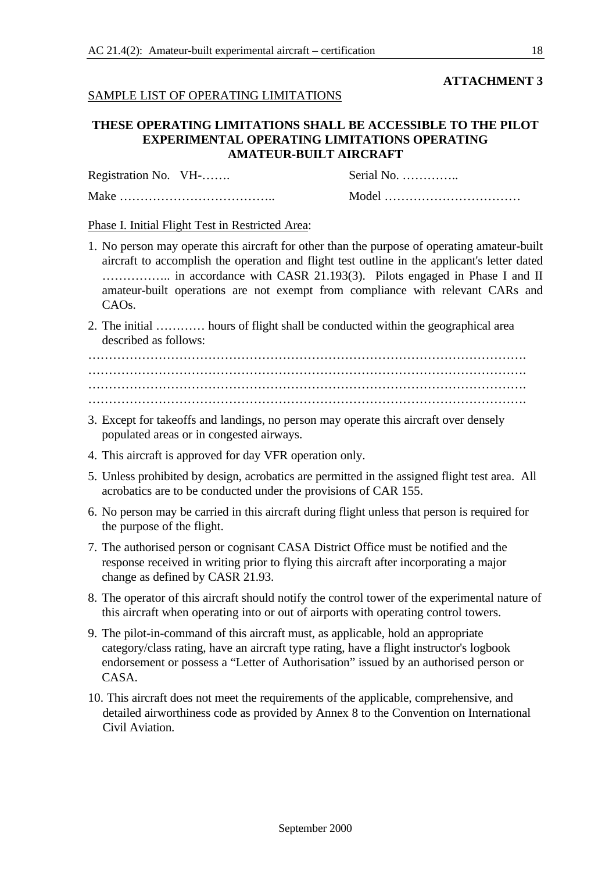#### **ATTACHMENT 3**

#### SAMPLE LIST OF OPERATING LIMITATIONS

#### **THESE OPERATING LIMITATIONS SHALL BE ACCESSIBLE TO THE PILOT EXPERIMENTAL OPERATING LIMITATIONS OPERATING AMATEUR-BUILT AIRCRAFT**

Registration No. VH-……. Serial No. …………..

Make ……………………………….. Model ……………………………

Phase I. Initial Flight Test in Restricted Area:

- 1. No person may operate this aircraft for other than the purpose of operating amateur-built aircraft to accomplish the operation and flight test outline in the applicant's letter dated …………….. in accordance with CASR 21.193(3). Pilots engaged in Phase I and II amateur-built operations are not exempt from compliance with relevant CARs and CAOs.
- 2. The initial ………… hours of flight shall be conducted within the geographical area described as follows:

……………………………………………………………………………………………. ……………………………………………………………………………………………. ……………………………………………………………………………………………. …………………………………………………………………………………………….

- 3. Except for takeoffs and landings, no person may operate this aircraft over densely populated areas or in congested airways.
- 4. This aircraft is approved for day VFR operation only.
- 5. Unless prohibited by design, acrobatics are permitted in the assigned flight test area. All acrobatics are to be conducted under the provisions of CAR 155.
- 6. No person may be carried in this aircraft during flight unless that person is required for the purpose of the flight.
- 7. The authorised person or cognisant CASA District Office must be notified and the response received in writing prior to flying this aircraft after incorporating a major change as defined by CASR 21.93.
- 8. The operator of this aircraft should notify the control tower of the experimental nature of this aircraft when operating into or out of airports with operating control towers.
- 9. The pilot-in-command of this aircraft must, as applicable, hold an appropriate category/class rating, have an aircraft type rating, have a flight instructor's logbook endorsement or possess a "Letter of Authorisation" issued by an authorised person or CASA.
- 10. This aircraft does not meet the requirements of the applicable, comprehensive, and detailed airworthiness code as provided by Annex 8 to the Convention on International Civil Aviation.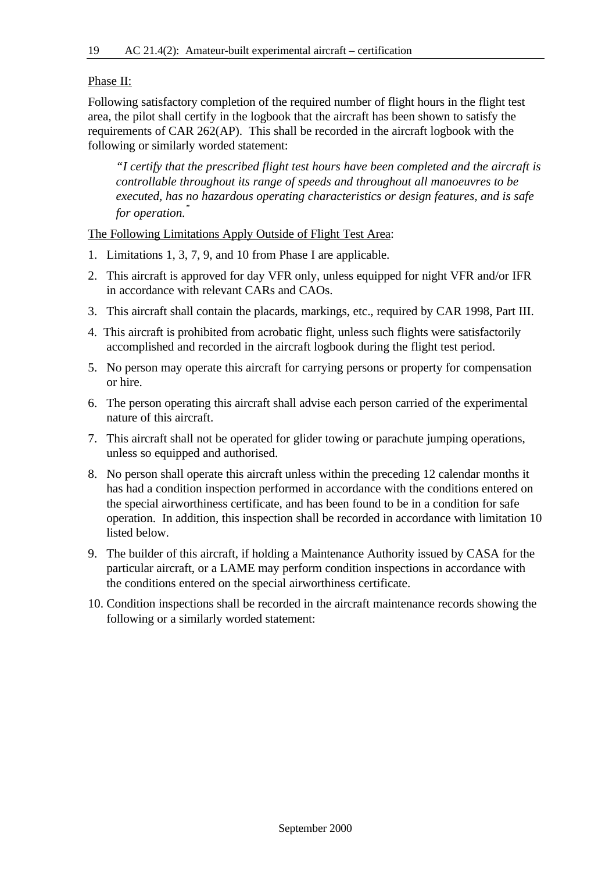#### Phase II:

Following satisfactory completion of the required number of flight hours in the flight test area, the pilot shall certify in the logbook that the aircraft has been shown to satisfy the requirements of CAR 262(AP). This shall be recorded in the aircraft logbook with the following or similarly worded statement:

*"I certify that the prescribed flight test hours have been completed and the aircraft is controllable throughout its range of speeds and throughout all manoeuvres to be executed, has no hazardous operating characteristics or design features, and is safe for operation."*

The Following Limitations Apply Outside of Flight Test Area:

- 1. Limitations 1, 3, 7, 9, and 10 from Phase I are applicable.
- 2. This aircraft is approved for day VFR only, unless equipped for night VFR and/or IFR in accordance with relevant CARs and CAOs.
- 3. This aircraft shall contain the placards, markings, etc., required by CAR 1998, Part III.
- 4. This aircraft is prohibited from acrobatic flight, unless such flights were satisfactorily accomplished and recorded in the aircraft logbook during the flight test period.
- 5. No person may operate this aircraft for carrying persons or property for compensation or hire.
- 6. The person operating this aircraft shall advise each person carried of the experimental nature of this aircraft.
- 7. This aircraft shall not be operated for glider towing or parachute jumping operations, unless so equipped and authorised.
- 8. No person shall operate this aircraft unless within the preceding 12 calendar months it has had a condition inspection performed in accordance with the conditions entered on the special airworthiness certificate, and has been found to be in a condition for safe operation. In addition, this inspection shall be recorded in accordance with limitation 10 listed below.
- 9. The builder of this aircraft, if holding a Maintenance Authority issued by CASA for the particular aircraft, or a LAME may perform condition inspections in accordance with the conditions entered on the special airworthiness certificate.
- 10. Condition inspections shall be recorded in the aircraft maintenance records showing the following or a similarly worded statement: